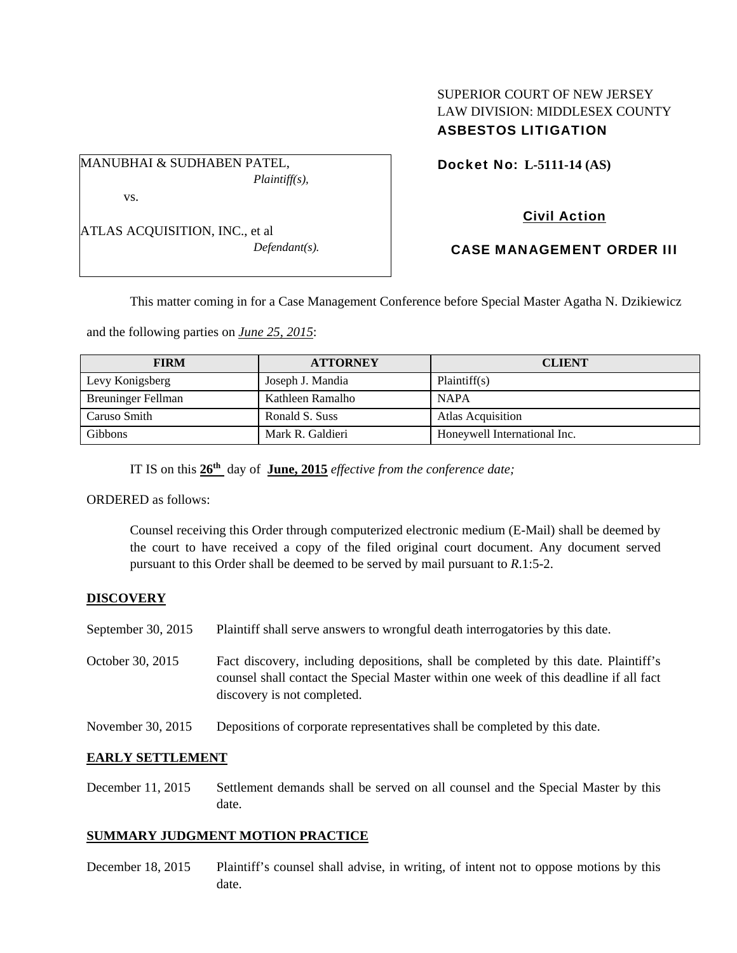## SUPERIOR COURT OF NEW JERSEY LAW DIVISION: MIDDLESEX COUNTY ASBESTOS LITIGATION

MANUBHAI & SUDHABEN PATEL, *Plaintiff(s),* 

vs.

ATLAS ACQUISITION, INC., et al *Defendant(s).*  Docket No: **L-5111-14 (AS)** 

# Civil Action

## CASE MANAGEMENT ORDER III

This matter coming in for a Case Management Conference before Special Master Agatha N. Dzikiewicz

and the following parties on *June 25, 2015*:

| <b>FIRM</b>               | <b>ATTORNEY</b>  | <b>CLIENT</b>                |
|---------------------------|------------------|------------------------------|
| Levy Konigsberg           | Joseph J. Mandia | Plaintiff(s)                 |
| <b>Breuninger Fellman</b> | Kathleen Ramalho | <b>NAPA</b>                  |
| Caruso Smith              | Ronald S. Suss   | <b>Atlas Acquisition</b>     |
| <b>Gibbons</b>            | Mark R. Galdieri | Honeywell International Inc. |

IT IS on this **26th** day of **June, 2015** *effective from the conference date;*

ORDERED as follows:

Counsel receiving this Order through computerized electronic medium (E-Mail) shall be deemed by the court to have received a copy of the filed original court document. Any document served pursuant to this Order shall be deemed to be served by mail pursuant to *R*.1:5-2.

## **DISCOVERY**

- September 30, 2015 Plaintiff shall serve answers to wrongful death interrogatories by this date.
- October 30, 2015 Fact discovery, including depositions, shall be completed by this date. Plaintiff's counsel shall contact the Special Master within one week of this deadline if all fact discovery is not completed.
- November 30, 2015 Depositions of corporate representatives shall be completed by this date.

## **EARLY SETTLEMENT**

December 11, 2015 Settlement demands shall be served on all counsel and the Special Master by this date.

## **SUMMARY JUDGMENT MOTION PRACTICE**

December 18, 2015 Plaintiff's counsel shall advise, in writing, of intent not to oppose motions by this date.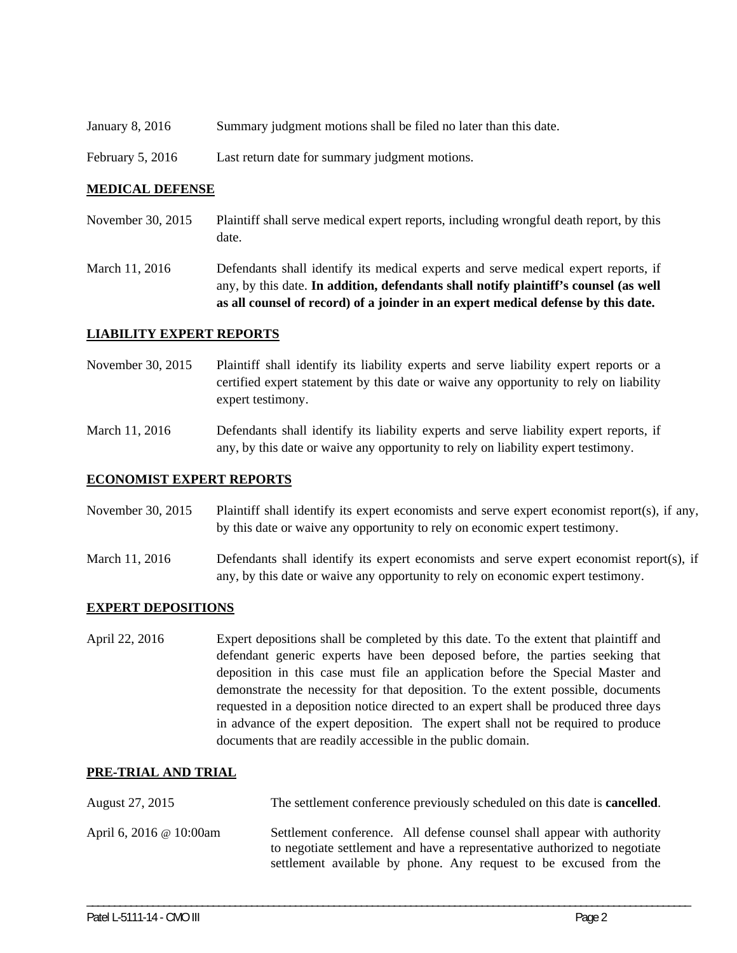- January 8, 2016 Summary judgment motions shall be filed no later than this date.
- February 5, 2016 Last return date for summary judgment motions.

#### **MEDICAL DEFENSE**

- November 30, 2015 Plaintiff shall serve medical expert reports, including wrongful death report, by this date.
- March 11, 2016 Defendants shall identify its medical experts and serve medical expert reports, if any, by this date. **In addition, defendants shall notify plaintiff's counsel (as well as all counsel of record) of a joinder in an expert medical defense by this date.**

#### **LIABILITY EXPERT REPORTS**

- November 30, 2015 Plaintiff shall identify its liability experts and serve liability expert reports or a certified expert statement by this date or waive any opportunity to rely on liability expert testimony.
- March 11, 2016 Defendants shall identify its liability experts and serve liability expert reports, if any, by this date or waive any opportunity to rely on liability expert testimony.

#### **ECONOMIST EXPERT REPORTS**

- November 30, 2015 Plaintiff shall identify its expert economists and serve expert economist report(s), if any, by this date or waive any opportunity to rely on economic expert testimony.
- March 11, 2016 Defendants shall identify its expert economists and serve expert economist report(s), if any, by this date or waive any opportunity to rely on economic expert testimony.

#### **EXPERT DEPOSITIONS**

April 22, 2016 Expert depositions shall be completed by this date. To the extent that plaintiff and defendant generic experts have been deposed before, the parties seeking that deposition in this case must file an application before the Special Master and demonstrate the necessity for that deposition. To the extent possible, documents requested in a deposition notice directed to an expert shall be produced three days in advance of the expert deposition. The expert shall not be required to produce documents that are readily accessible in the public domain.

#### **PRE-TRIAL AND TRIAL**

| August 27, 2015         | The settlement conference previously scheduled on this date is <b>cancelled</b> .                                                                                                                                        |  |
|-------------------------|--------------------------------------------------------------------------------------------------------------------------------------------------------------------------------------------------------------------------|--|
| April 6, 2016 @ 10:00am | Settlement conference. All defense counsel shall appear with authority<br>to negotiate settlement and have a representative authorized to negotiate<br>settlement available by phone. Any request to be excused from the |  |

\_\_\_\_\_\_\_\_\_\_\_\_\_\_\_\_\_\_\_\_\_\_\_\_\_\_\_\_\_\_\_\_\_\_\_\_\_\_\_\_\_\_\_\_\_\_\_\_\_\_\_\_\_\_\_\_\_\_\_\_\_\_\_\_\_\_\_\_\_\_\_\_\_\_\_\_\_\_\_\_\_\_\_\_\_\_\_\_\_\_\_\_\_\_\_\_\_\_\_\_\_\_\_\_\_\_\_\_\_\_